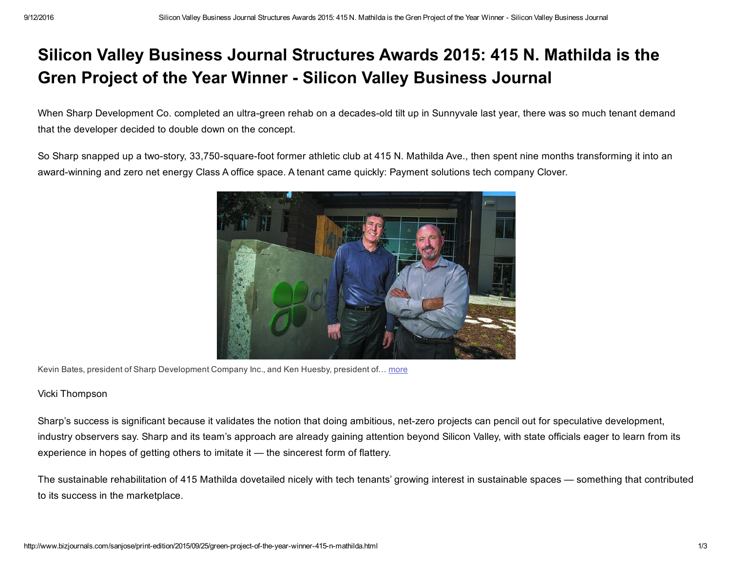## Silicon Valley Business Journal Structures Awards 2015: 415 N. Mathilda is the Gren Project of the Year Winner - Silicon Valley Business Journal

When Sharp Development Co. completed an ultra-green rehab on a decades-old tilt up in Sunnyvale last year, there was so much tenant demand that the developer decided to double down on the concept.

So Sharp snapped up a two-story, 33,750-square-foot former athletic club at 415 N. Mathilda Ave., then spent nine months transforming it into an award-winning and zero net energy Class A office space. A tenant came quickly: Payment solutions tech company Clover.



Kevin Bates, president of Sharp Development Company Inc., and Ken Huesby, president of… [more](http://www.bizjournals.com/sanjose/print-edition/2015/09/25/green-project-of-the-year-winner-415-n-mathilda.html#i1)

## Vicki Thompson

Sharp's success is significant because it validates the notion that doing ambitious, net-zero projects can pencil out for speculative development, industry observers say. Sharp and its team's approach are already gaining attention beyond Silicon Valley, with state officials eager to learn from its experience in hopes of getting others to imitate it — the sincerest form of flattery.

The sustainable rehabilitation of 415 Mathilda dovetailed nicely with tech tenants' growing interest in sustainable spaces — something that contributed to its success in the marketplace.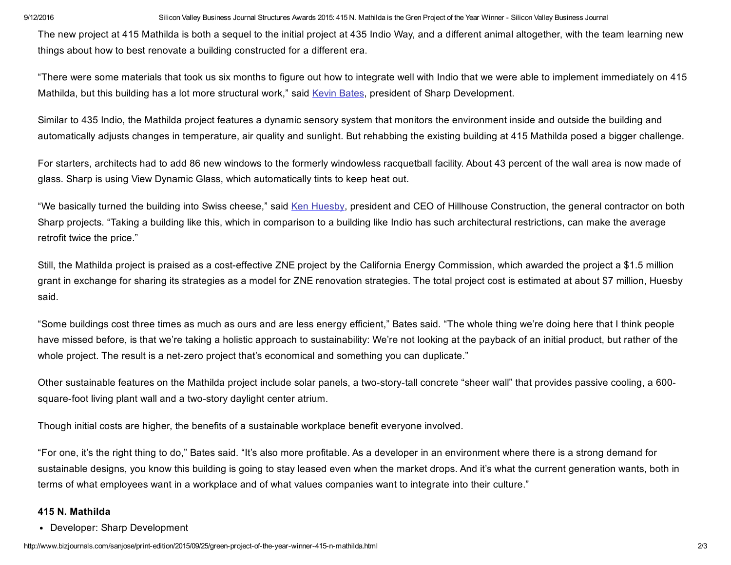9/12/2016 Silicon Valley Business Journal Structures Awards 2015: 415 N. Mathilda is the Gren Project of the Year Winner - Silicon Valley Business Journal

The new project at 415 Mathilda is both a sequel to the initial project at 435 Indio Way, and a different animal altogether, with the team learning new things about how to best renovate a building constructed for a different era.

"There were some materials that took us six months to figure out how to integrate well with Indio that we were able to implement immediately on 415 Mathilda, but this building has a lot more structural work," said Kevin [Bates,](http://www.bizjournals.com/sanjose/search/results?q=Kevin%20Bates) president of Sharp Development.

Similar to 435 Indio, the Mathilda project features a dynamic sensory system that monitors the environment inside and outside the building and automatically adjusts changes in temperature, air quality and sunlight. But rehabbing the existing building at 415 Mathilda posed a bigger challenge.

For starters, architects had to add 86 new windows to the formerly windowless racquetball facility. About 43 percent of the wall area is now made of glass. Sharp is using View Dynamic Glass, which automatically tints to keep heat out.

"We basically turned the building into Swiss cheese," said Ken [Huesby,](http://www.bizjournals.com/sanjose/search/results?q=Ken%20Huesby) president and CEO of Hillhouse Construction, the general contractor on both Sharp projects. "Taking a building like this, which in comparison to a building like Indio has such architectural restrictions, can make the average retrofit twice the price."

Still, the Mathilda project is praised as a costeffective ZNE project by the California Energy Commission, which awarded the project a \$1.5 million grant in exchange for sharing its strategies as a model for ZNE renovation strategies. The total project cost is estimated at about \$7 million, Huesby said.

"Some buildings cost three times as much as ours and are less energy efficient," Bates said. "The whole thing we're doing here that I think people have missed before, is that we're taking a holistic approach to sustainability: We're not looking at the payback of an initial product, but rather of the whole project. The result is a net-zero project that's economical and something you can duplicate."

Other sustainable features on the Mathilda project include solar panels, a two-story-tall concrete "sheer wall" that provides passive cooling, a 600square-foot living plant wall and a two-story daylight center atrium.

Though initial costs are higher, the benefits of a sustainable workplace benefit everyone involved.

"For one, it's the right thing to do," Bates said. "It's also more profitable. As a developer in an environment where there is a strong demand for sustainable designs, you know this building is going to stay leased even when the market drops. And it's what the current generation wants, both in terms of what employees want in a workplace and of what values companies want to integrate into their culture."

## 415 N. Mathilda

Developer: Sharp Development